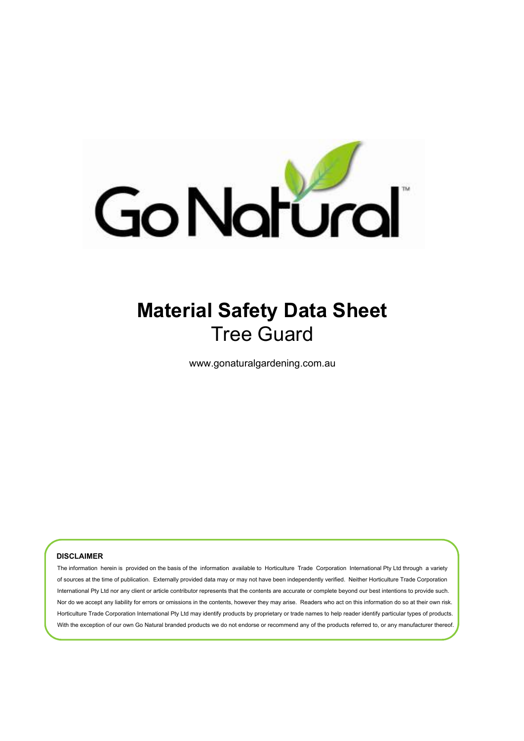

# **Material Safety Data Sheet** Tree Guard

www.gonaturalgardening.com.au

#### **DISCLAIMER**

The information herein is provided on the basis of the information available to Horticulture Trade Corporation International Pty Ltd through a variety of sources at the time of publication. Externally provided data may or may not have been independently verified. Neither Horticulture Trade Corporation International Pty Ltd nor any client or article contributor represents that the contents are accurate or complete beyond our best intentions to provide such. Nor do we accept any liability for errors or omissions in the contents, however they may arise. Readers who act on this information do so at their own risk. Horticulture Trade Corporation International Pty Ltd may identify products by proprietary or trade names to help reader identify particular types of products. With the exception of our own Go Natural branded products we do not endorse or recommend any of the products referred to, or any manufacturer thereof.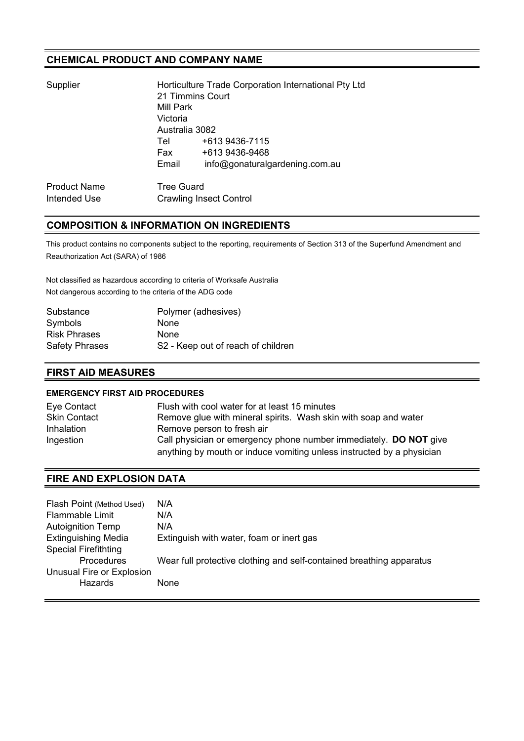### **CHEMICAL PRODUCT AND COMPANY NAME**

| Supplier | Horticulture Trade Corporation International Pty Ltd<br>21 Timmins Court<br>Mill Park<br>Victoria<br>Australia 3082 |  |                                |                     |                                |
|----------|---------------------------------------------------------------------------------------------------------------------|--|--------------------------------|---------------------|--------------------------------|
|          |                                                                                                                     |  |                                | Tel                 | +613 9436-7115                 |
|          |                                                                                                                     |  |                                | Fax                 | +613 9436-9468                 |
|          |                                                                                                                     |  |                                | Email               | info@gonaturalgardening.com.au |
|          |                                                                                                                     |  |                                | <b>Product Name</b> | <b>Tree Guard</b>              |
|          | Intended Use                                                                                                        |  | <b>Crawling Insect Control</b> |                     |                                |
|          |                                                                                                                     |  |                                |                     |                                |

### **COMPOSITION & INFORMATION ON INGREDIENTS**

This product contains no components subject to the reporting, requirements of Section 313 of the Superfund Amendment and Reauthorization Act (SARA) of 1986

Not classified as hazardous according to criteria of Worksafe Australia Not dangerous according to the criteria of the ADG code

| Polymer (adhesives)                |
|------------------------------------|
| <b>None</b>                        |
| None                               |
| S2 - Keep out of reach of children |
|                                    |

### **FIRST AID MEASURES**

#### **EMERGENCY FIRST AID PROCEDURES**

| Eye Contact         | Flush with cool water for at least 15 minutes                         |
|---------------------|-----------------------------------------------------------------------|
| <b>Skin Contact</b> | Remove glue with mineral spirits. Wash skin with soap and water       |
| <b>Inhalation</b>   | Remove person to fresh air                                            |
| Ingestion           | Call physician or emergency phone number immediately. DO NOT give     |
|                     | anything by mouth or induce vomiting unless instructed by a physician |

## **FIRE AND EXPLOSION DATA**

| Flash Point (Method Used)   | N/A                                                                  |
|-----------------------------|----------------------------------------------------------------------|
| <b>Flammable Limit</b>      | N/A                                                                  |
| <b>Autoignition Temp</b>    | N/A                                                                  |
| <b>Extinguishing Media</b>  | Extinguish with water, foam or inert gas                             |
| <b>Special Firefithting</b> |                                                                      |
| <b>Procedures</b>           | Wear full protective clothing and self-contained breathing apparatus |
| Unusual Fire or Explosion   |                                                                      |
| Hazards                     | None.                                                                |
|                             |                                                                      |